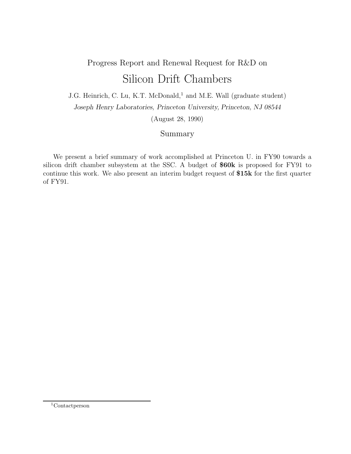# Progress Report and Renewal Request for R&D on Silicon Drift Chambers

J.G. Heinrich, C. Lu, K.T. McDonald,<sup>1</sup> and M.E. Wall (graduate student) *Joseph Henry Laboratories, Princeton University, Princeton, NJ 08544*

(August 28, 1990)

#### Summary

We present a brief summary of work accomplished at Princeton U. in FY90 towards a silicon drift chamber subsystem at the SSC. A budget of **\$60k** is proposed for FY91 to continue this work. We also present an interim budget request of **\$15k** for the first quarter of FY91.

 $^1\mathrm{Context}$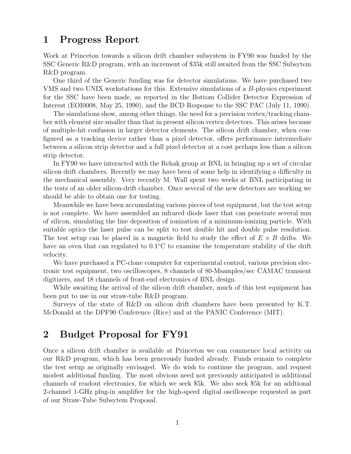### **1 Progress Report**

Work at Princeton towards a silicon drift chamber subsystem in FY90 was funded by the SSC Generic R&D program, with an increment of \$35k still awaited from the SSC Subsytem R&D program.

One third of the Generic funding was for detector simulations. We have purchased two VMS and two UNIX workstations for this. Extensive simulations of a *B*-physics experiment for the SSC have been made, as reported in the Bottom Collider Detector Expression of Interest (EOI0008, May 25, 1990), and the BCD Response to the SSC PAC (July 11, 1990).

The simulations show, among other things, the need for a precision vertex/tracking chamber with element size smaller than that in present silicon vertex detectors. This arises because of multiple-hit confusion in larger detector elements. The silicon drift chamber, when configured as a tracking device rather than a pixel detector, offers performance intermediate between a silicon strip detector and a full pixel detector at a cost perhaps less than a silicon strip detector.

In FY90 we have interacted with the Rehak group at BNL in bringing up a set of circular silicon drift chambers. Recently we may have been of some help in identifying a difficulty in the mechanical assembly. Very recently M. Wall spent two weeks at BNL participating in the tests of an older silicon-drift chamber. Once several of the new detectors are working we should be able to obtain one for testing.

Meanwhile we have been accumulating various pieces of test equipment, but the test setup is not complete. We have assembled an infrared diode laser that can penetrate several mm of silicon, simulating the line deposition of ionization of a minimum-ionizing particle. With suitable optics the laser pulse can be split to test double hit and double pulse resolution. The test setup can be placed in a magnetic field to study the effect of  $E \times B$  drifts. We have an oven that can regulated to 0.1◦C to examine the temperature stability of the drift velocity.

We have purchased a PC-clone computer for experimental control, various precision electronic test equipment, two oscilloscopes, 8 channels of 80-Msamples/sec CAMAC transient digitizers, and 18 channels of front-end electronics of BNL design.

While awaiting the arrival of the silicon drift chamber, much of this test equipment has been put to use in our straw-tube R&D program.

Surveys of the state of R&D on silicon drift chambers have been presented by K.T. McDonald at the DPF90 Conference (Rice) and at the PANIC Conference (MIT).

### **2 Budget Proposal for FY91**

Once a silicon drift chamber is available at Princeton we can commence local activity on our R&D program, which has been generously funded already. Funds remain to complete the test setup as originally envisaged. We do wish to continue the program, and request modest additional funding. The most obvious need not previously anticipated is additional channels of readout electronics, for which we seek \$5k. We also seek \$5k for an addtional 2-channel 1-GHz plug-in amplifier for the high-speed digital oscilloscope requested as part of our Straw-Tube Subsytem Proposal.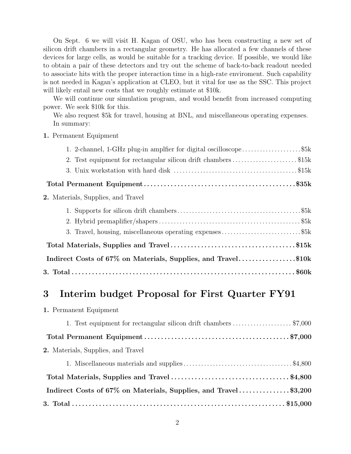On Sept. 6 we will visit H. Kagan of OSU, who has been constructing a new set of silicon drift chambers in a rectangular geometry. He has allocated a few channels of these devices for large cells, as would be suitable for a tracking device. If possible, we would like to obtain a pair of these detectors and try out the scheme of back-to-back readout needed to associate hits with the proper interaction time in a high-rate enviroment. Such capability is not needed in Kagan's application at CLEO, but it vital for use as the SSC. This project will likely entail new costs that we roughly estimate at \$10k.

We will continue our simulation program, and would benefit from increased computing power. We seek \$10k for this.

We also request \$5k for travel, housing at BNL, and miscellaneous operating expenses. In summary:

#### **1.** Permanent Equipment

| 1. 2-channel, 1-GHz plug-in amplier for digital oscilloscope\$5k |
|------------------------------------------------------------------|
| 2. Test equipment for rectangular silicon drift chambers \$15k   |
|                                                                  |
|                                                                  |
| 2. Materials, Supplies, and Travel                               |
|                                                                  |
|                                                                  |
| 3. Travel, housing, miscellaneous operating expenses\$5k         |
|                                                                  |
| Indirect Costs of 67% on Materials, Supplies, and Travel\$10k    |
|                                                                  |
|                                                                  |
| Interim budget Proposal for First Quarter FY91<br>$\bf{3}$       |
| 1. Permanent Equipment                                           |
| 1. Test equipment for rectangular silicon drift chambers \$7,000 |
|                                                                  |
| 2. Materials, Supplies, and Travel                               |

**Total Materials, Supplies and Travel . . . . . . . . . . . . . . . . . . . . . . . . . . . . . . . . . . . \$4,800 Indirect Costs of 67% on Materials, Supplies, and Travel . . . . . . . . . . . . . . . \$3,200 3. Total . . . . . . . . . . . . . . . . . . . . . . . . . . . . . . . . . . . . . . . . . . . . . . . . . . . . . . . . . . . . . . . \$15,000**